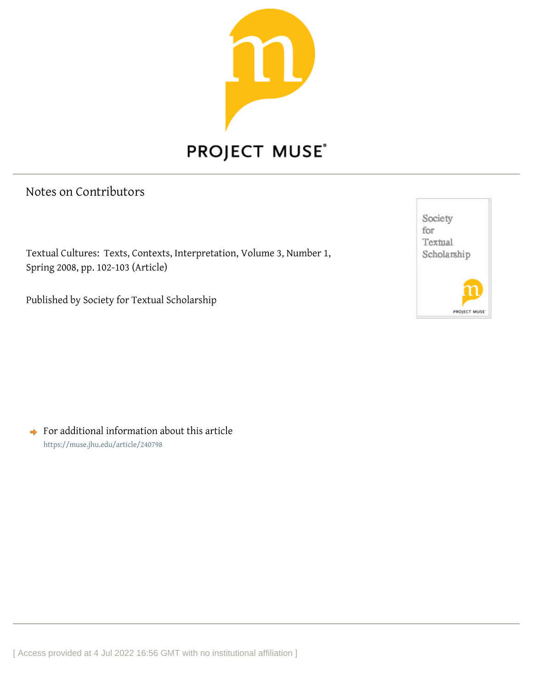

## Notes on Contributors

Textual Cultures: Texts, Contexts, Interpretation, Volume 3, Number 1, Spring 2008, pp. 102-103 (Article)

Published by Society for Textual Scholarship



 $\rightarrow$  For additional information about this article <https://muse.jhu.edu/article/240798>

[ Access provided at 4 Jul 2022 16:56 GMT with no institutional affiliation ]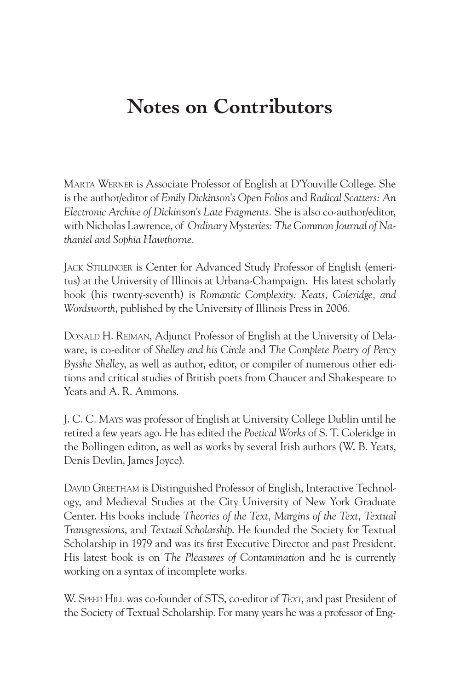## **Notes on Contributors**

Marta Werner is Associate Professor of English at D'Youville College. She is the author/editor of *Emily Dickinson's Open Folios* and *Radical Scatters: An Electronic Archive of Dickinson's Late Fragments.* She is also co-author/editor, with Nicholas Lawrence, of *Ordinary Mysteries: The Common Journal of Nathaniel and Sophia Hawthorne.*

Jack Stillinger is Center for Advanced Study Professor of English (emeritus) at the University of Illinois at Urbana-Champaign. His latest scholarly book (his twenty-seventh) is *Romantic Complexity: Keats, Coleridge, and Wordsworth*, published by the University of Illinois Press in 2006.

Donald H. Reiman, Adjunct Professor of English at the University of Delaware, is co-editor of *Shelley and his Circle* and *The Complete Poetry of Percy Bysshe Shelley*, as well as author, editor, or compiler of numerous other editions and critical studies of British poets from Chaucer and Shakespeare to Yeats and A. R. Ammons.

J. C. C. Mays was professor of English at University College Dublin until he retired a few years ago. He has edited the *Poetical Works* of S. T. Coleridge in the Bollingen editon, as well as works by several Irish authors (W. B. Yeats, Denis Devlin, James Joyce).

DAVID GREETHAM is Distinguished Professor of English, Interactive Technology, and Medieval Studies at the City University of New York Graduate Center. His books include *Theories of the Text, Margins of the Text, Textual Transgressions*, and *Textual Scholarship*. He founded the Society for Textual Scholarship in 1979 and was its first Executive Director and past President. His latest book is on *The Pleasures of Contamination* and he is currently working on a syntax of incomplete works.

W. Speed Hill was co-founder of STS, co-editor of *Text*, and past President of the Society of Textual Scholarship. For many years he was a professor of Eng-